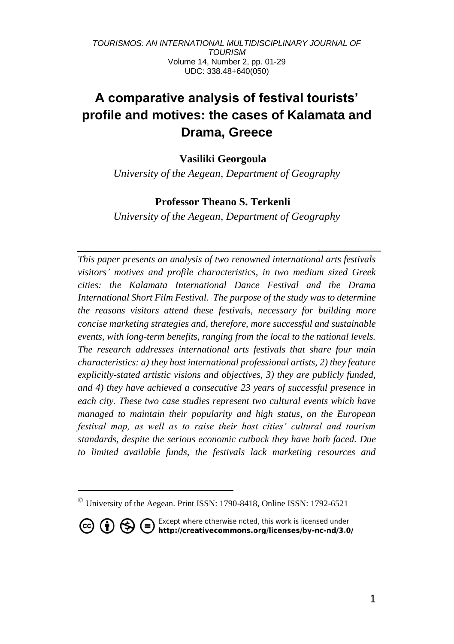# **A comparative analysis of festival tourists' profile and motives: the cases of Kalamata and Drama, Greece**

## **Vasiliki Georgoula ©**

*University of the Aegean, Department of Geography*

### **Professor Theano S. Terkenli ©**

*University of the Aegean, Department of Geography*

*This paper presents an analysis of two renowned international arts festivals visitors' motives and profile characteristics, in two medium sized Greek cities: the Kalamata International Dance Festival and the Drama International Short Film Festival. The purpose of the study was to determine the reasons visitors attend these festivals, necessary for building more concise marketing strategies and, therefore, more successful and sustainable events, with long-term benefits, ranging from the local to the national levels. The research addresses international arts festivals that share four main characteristics: a) they host international professional artists, 2) they feature explicitly-stated artistic visions and objectives, 3) they are publicly funded, and 4) they have achieved a consecutive 23 years of successful presence in each city. These two case studies represent two cultural events which have managed to maintain their popularity and high status, on the European festival map, as well as to raise their host cities' cultural and tourism standards, despite the serious economic cutback they have both faced. Due to limited available funds, the festivals lack marketing resources and* 

 $\textdegree$  University of the Aegean. Print ISSN: 1790-8418, Online ISSN: 1792-6521

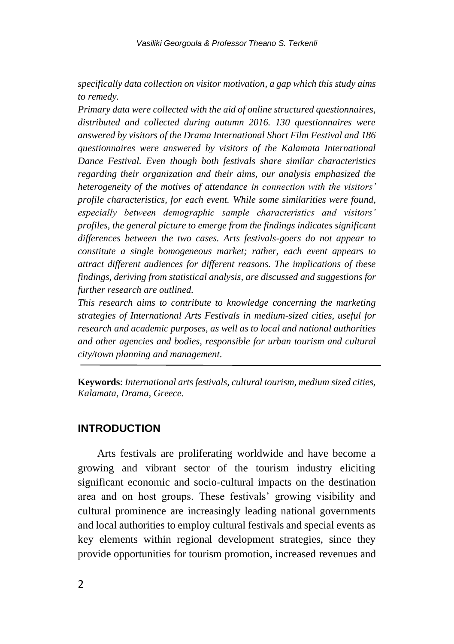*specifically data collection on visitor motivation, a gap which this study aims to remedy.*

*Primary data were collected with the aid of online structured questionnaires, distributed and collected during autumn 2016. 130 questionnaires were answered by visitors of the Drama International Short Film Festival and 186 questionnaires were answered by visitors of the Kalamata International Dance Festival. Even though both festivals share similar characteristics regarding their organization and their aims, our analysis emphasized the heterogeneity of the motives of attendance in connection with the visitors' profile characteristics, for each event. While some similarities were found, especially between demographic sample characteristics and visitors' profiles, the general picture to emerge from the findings indicates significant differences between the two cases. Arts festivals-goers do not appear to constitute a single homogeneous market; rather, each event appears to attract different audiences for different reasons. The implications of these findings, deriving from statistical analysis, are discussed and suggestions for further research are outlined.*

*This research aims to contribute to knowledge concerning the marketing strategies of International Arts Festivals in medium-sized cities, useful for research and academic purposes, as well as to local and national authorities and other agencies and bodies, responsible for urban tourism and cultural city/town planning and management.*

**Keywords**: *International arts festivals, cultural tourism, medium sized cities, Kalamata, Drama, Greece.*

## **INTRODUCTION**

Arts festivals are proliferating worldwide and have become a growing and vibrant sector of the tourism industry eliciting significant economic and socio-cultural impacts on the destination area and on host groups. These festivals' growing visibility and cultural prominence are increasingly leading national governments and local authorities to employ cultural festivals and special events as key elements within regional development strategies, since they provide opportunities for tourism promotion, increased revenues and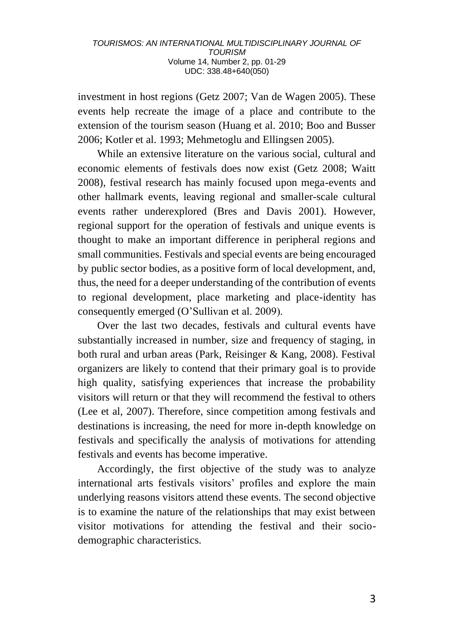investment in host regions (Getz 2007; Van de Wagen 2005). These events help recreate the image of a place and contribute to the extension of the tourism season (Huang et al. 2010; Boo and Busser 2006; Kotler et al. 1993; Mehmetoglu and Ellingsen 2005).

While an extensive literature on the various social, cultural and economic elements of festivals does now exist (Getz 2008; Waitt 2008), festival research has mainly focused upon mega-events and other hallmark events, leaving regional and smaller-scale cultural events rather underexplored (Bres and Davis 2001). However, regional support for the operation of festivals and unique events is thought to make an important difference in peripheral regions and small communities. Festivals and special events are being encouraged by public sector bodies, as a positive form of local development, and, thus, the need for a deeper understanding of the contribution of events to regional development, place marketing and place-identity has consequently emerged (O'Sullivan et al. 2009).

Over the last two decades, festivals and cultural events have substantially increased in number, size and frequency of staging, in both rural and urban areas (Park, Reisinger & Kang, 2008). Festival organizers are likely to contend that their primary goal is to provide high quality, satisfying experiences that increase the probability visitors will return or that they will recommend the festival to others (Lee et al, 2007). Therefore, since competition among festivals and destinations is increasing, the need for more in-depth knowledge on festivals and specifically the analysis of motivations for attending festivals and events has become imperative.

Accordingly, the first objective of the study was to analyze international arts festivals visitors' profiles and explore the main underlying reasons visitors attend these events. The second objective is to examine the nature of the relationships that may exist between visitor motivations for attending the festival and their sociodemographic characteristics.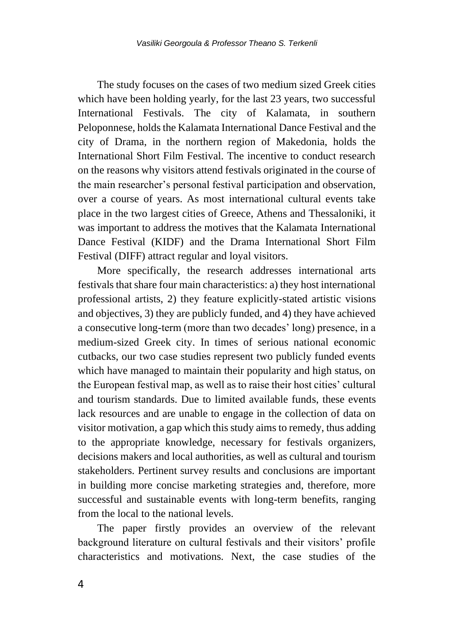The study focuses on the cases of two medium sized Greek cities which have been holding yearly, for the last 23 years, two successful International Festivals. The city of Kalamata, in southern Peloponnese, holds the Kalamata International Dance Festival and the city of Drama, in the northern region of Makedonia, holds the International Short Film Festival. The incentive to conduct research on the reasons why visitors attend festivals originated in the course of the main researcher's personal festival participation and observation, over a course of years. As most international cultural events take place in the two largest cities of Greece, Athens and Thessaloniki, it was important to address the motives that the Kalamata International Dance Festival (KIDF) and the Drama International Short Film Festival (DIFF) attract regular and loyal visitors.

More specifically, the research addresses international arts festivals that share four main characteristics: a) they host international professional artists, 2) they feature explicitly-stated artistic visions and objectives, 3) they are publicly funded, and 4) they have achieved a consecutive long-term (more than two decades' long) presence, in a medium-sized Greek city. In times of serious national economic cutbacks, our two case studies represent two publicly funded events which have managed to maintain their popularity and high status, on the European festival map, as well as to raise their host cities' cultural and tourism standards. Due to limited available funds, these events lack resources and are unable to engage in the collection of data on visitor motivation, a gap which this study aims to remedy, thus adding to the appropriate knowledge, necessary for festivals organizers, decisions makers and local authorities, as well as cultural and tourism stakeholders. Pertinent survey results and conclusions are important in building more concise marketing strategies and, therefore, more successful and sustainable events with long-term benefits, ranging from the local to the national levels.

The paper firstly provides an overview of the relevant background literature on cultural festivals and their visitors' profile characteristics and motivations. Next, the case studies of the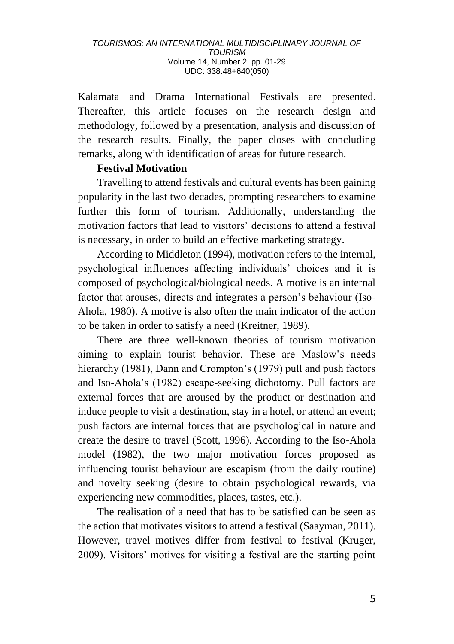Kalamata and Drama International Festivals are presented. Thereafter, this article focuses on the research design and methodology, followed by a presentation, analysis and discussion of the research results. Finally, the paper closes with concluding remarks, along with identification of areas for future research.

## **Festival Motivation**

Travelling to attend festivals and cultural events has been gaining popularity in the last two decades, prompting researchers to examine further this form of tourism. Additionally, understanding the motivation factors that lead to visitors' decisions to attend a festival is necessary, in order to build an effective marketing strategy.

According to Middleton (1994), motivation refers to the internal, psychological influences affecting individuals' choices and it is composed of psychological/biological needs. A motive is an internal factor that arouses, directs and integrates a person's behaviour (Iso-Ahola, 1980). A motive is also often the main indicator of the action to be taken in order to satisfy a need (Kreitner, 1989).

There are three well-known theories of tourism motivation aiming to explain tourist behavior. These are Maslow's needs hierarchy (1981), Dann and Crompton's (1979) pull and push factors and Iso-Ahola's (1982) escape-seeking dichotomy. Pull factors are external forces that are aroused by the product or destination and induce people to visit a destination, stay in a hotel, or attend an event; push factors are internal forces that are psychological in nature and create the desire to travel (Scott, 1996). According to the Iso-Ahola model (1982), the two major motivation forces proposed as influencing tourist behaviour are escapism (from the daily routine) and novelty seeking (desire to obtain psychological rewards, via experiencing new commodities, places, tastes, etc.).

The realisation of a need that has to be satisfied can be seen as the action that motivates visitors to attend a festival (Saayman, 2011). However, travel motives differ from festival to festival (Kruger, 2009). Visitors' motives for visiting a festival are the starting point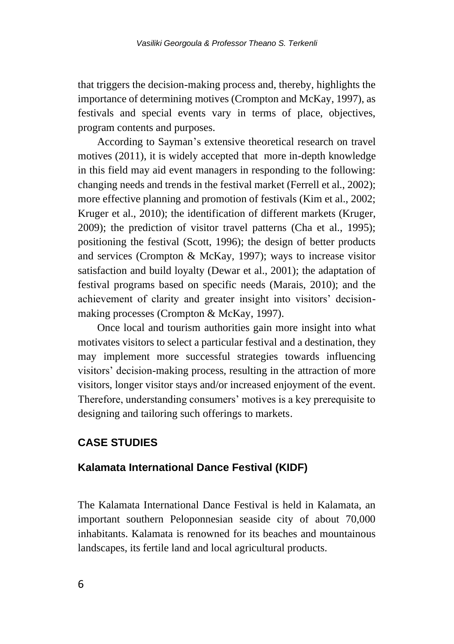that triggers the decision-making process and, thereby, highlights the importance of determining motives (Crompton and McKay, 1997), as festivals and special events vary in terms of place, objectives, program contents and purposes.

According to Sayman's extensive theoretical research on travel motives (2011), it is widely accepted that more in-depth knowledge in this field may aid event managers in responding to the following: changing needs and trends in the festival market (Ferrell et al., 2002); more effective planning and promotion of festivals (Kim et al., 2002; Kruger et al., 2010); the identification of different markets (Kruger, 2009); the prediction of visitor travel patterns (Cha et al., 1995); positioning the festival (Scott, 1996); the design of better products and services (Crompton & McKay, 1997); ways to increase visitor satisfaction and build loyalty (Dewar et al., 2001); the adaptation of festival programs based on specific needs (Marais, 2010); and the achievement of clarity and greater insight into visitors' decisionmaking processes (Crompton & McKay, 1997).

Once local and tourism authorities gain more insight into what motivates visitors to select a particular festival and a destination, they may implement more successful strategies towards influencing visitors' decision-making process, resulting in the attraction of more visitors, longer visitor stays and/or increased enjoyment of the event. Therefore, understanding consumers' motives is a key prerequisite to designing and tailoring such offerings to markets.

## **CASE STUDIES**

## **Kalamata International Dance Festival (KIDF)**

The Kalamata International Dance Festival is held in Kalamata, an important southern Peloponnesian seaside city of about 70,000 inhabitants. Kalamata is renowned for its beaches and mountainous landscapes, its fertile land and local agricultural products.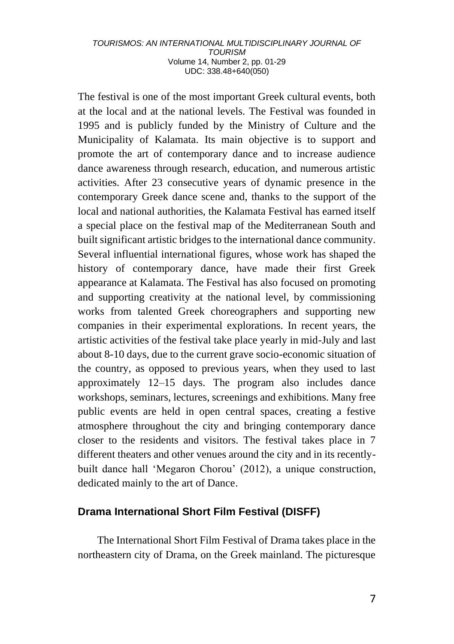The festival is one of the most important Greek cultural events, both at the local and at the national levels. The Festival was founded in 1995 and is publicly funded by the Ministry of Culture and the Municipality of Kalamata. Its main objective is to support and promote the art of contemporary dance and to increase audience dance awareness through research, education, and numerous artistic activities. After 23 consecutive years of dynamic presence in the contemporary Greek dance scene and, thanks to the support of the local and national authorities, the Kalamata Festival has earned itself a special place on the festival map of the Mediterranean South and built significant artistic bridges to the international dance community. Several influential international figures, whose work has shaped the history of contemporary dance, have made their first Greek appearance at Kalamata. The Festival has also focused on promoting and supporting creativity at the national level, by commissioning works from talented Greek choreographers and supporting new companies in their experimental explorations. In recent years, the artistic activities of the festival take place yearly in mid-July and last about 8-10 days, due to the current grave socio-economic situation of the country, as opposed to previous years, when they used to last approximately 12–15 days. Τhe program also includes dance workshops, seminars, lectures, screenings and exhibitions. Many free public events are held in open central spaces, creating a festive atmosphere throughout the city and bringing contemporary dance closer to the residents and visitors. The festival takes place in 7 different theaters and other venues around the city and in its recentlybuilt dance hall 'Megaron Chorou' (2012), a unique construction, dedicated mainly to the art of Dance.

## **Drama International Short Film Festival (DISFF)**

The International Short Film Festival of Drama takes place in the northeastern city of Drama, on the Greek mainland. The picturesque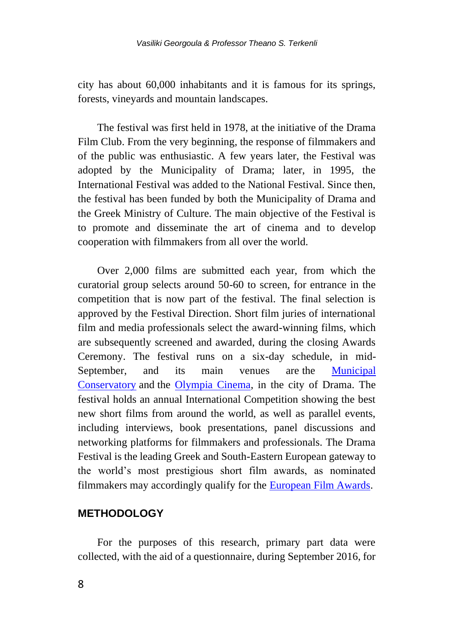city has about 60,000 inhabitants and it is famous for its springs, forests, vineyards and mountain landscapes.

The festival was first held in 1978, at the initiative of the Drama Film Club. From the very beginning, the response of filmmakers and of the public was enthusiastic. A few years later, the Festival was adopted by the Municipality of Drama; later, in 1995, the International Festival was added to the National Festival. Since then, the festival has been funded by both the Municipality of Drama and the Greek Ministry of Culture. The main objective of the Festival is to promote and disseminate the art of cinema and to develop cooperation with filmmakers from all over the world.

Over 2,000 films are submitted each year, from which the curatorial group selects around 50-60 to screen, for entrance in the competition that is now part of the festival. The final selection is approved by the Festival Direction. Short film juries of international film and media professionals select the award-winning films, which are subsequently screened and awarded, during the closing Awards Ceremony. The festival runs on a six-day schedule, in mid-September, and its main venues are the Municipal [Conservatory](https://en.wikipedia.org/w/index.php?title=Municipal_Conservatory&action=edit&redlink=1) and the [Olympia Cinema,](https://en.wikipedia.org/w/index.php?title=Olympia_Cinema&action=edit&redlink=1) in the city of Drama. The festival holds an annual International Competition showing the best new short films from around the world, as well as parallel events, including interviews, book presentations, panel discussions and networking platforms for filmmakers and professionals. The Drama Festival is the leading Greek and South-Eastern European gateway to the world's most prestigious short film awards, as nominated filmmakers may accordingly qualify for the [European Film Awards.](https://en.wikipedia.org/wiki/European_Film_Awards)

## **METHODOLOGY**

For the purposes of this research, primary part data were collected, with the aid of a questionnaire, during September 2016, for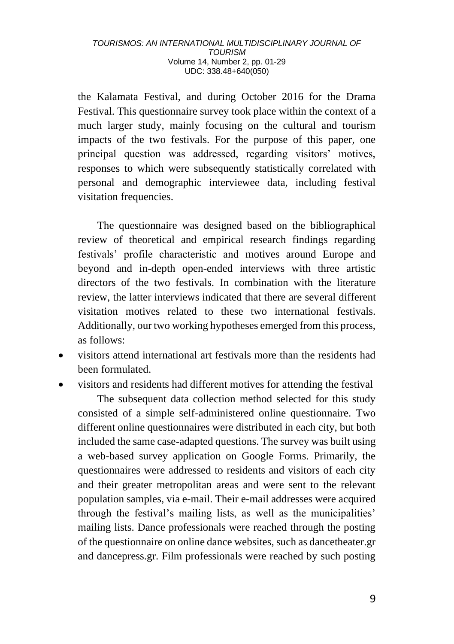the Kalamata Festival, and during October 2016 for the Drama Festival. This questionnaire survey took place within the context of a much larger study, mainly focusing on the cultural and tourism impacts of the two festivals. For the purpose of this paper, one principal question was addressed, regarding visitors' motives, responses to which were subsequently statistically correlated with personal and demographic interviewee data, including festival visitation frequencies.

The questionnaire was designed based on the bibliographical review of theoretical and empirical research findings regarding festivals' profile characteristic and motives around Europe and beyond and in-depth open-ended interviews with three artistic directors of the two festivals. In combination with the literature review, the latter interviews indicated that there are several different visitation motives related to these two international festivals. Additionally, our two working hypotheses emerged from this process, as follows:

- visitors attend international art festivals more than the residents had been formulated.
- visitors and residents had different motives for attending the festival The subsequent data collection method selected for this study consisted of a simple self-administered online questionnaire. Two different online questionnaires were distributed in each city, but both included the same case-adapted questions. The survey was built using a web-based survey application on Google Forms. Primarily, the questionnaires were addressed to residents and visitors of each city and their greater metropolitan areas and were sent to the relevant population samples, via e-mail. Their e-mail addresses were acquired through the festival's mailing lists, as well as the municipalities' mailing lists. Dance professionals were reached through the posting of the questionnaire on online dance websites, such as dancetheater.gr and dancepress.gr. Film professionals were reached by such posting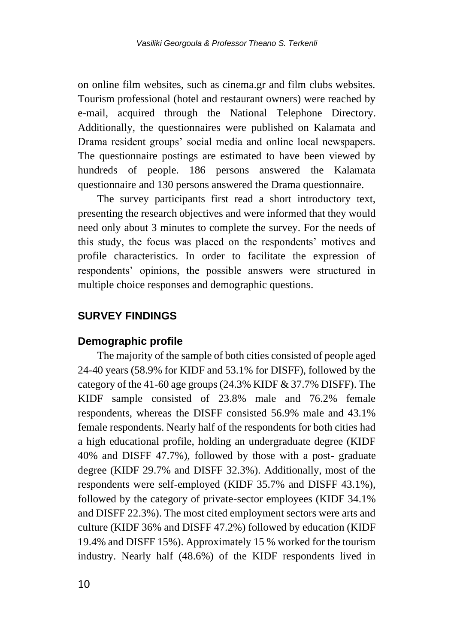on online film websites, such as cinema.gr and film clubs websites. Tourism professional (hotel and restaurant owners) were reached by e-mail, acquired through the National Telephone Directory. Additionally, the questionnaires were published on Kalamata and Drama resident groups' social media and online local newspapers. The questionnaire postings are estimated to have been viewed by hundreds of people. 186 persons answered the Kalamata questionnaire and 130 persons answered the Drama questionnaire.

The survey participants first read a short introductory text, presenting the research objectives and were informed that they would need only about 3 minutes to complete the survey. For the needs of this study, the focus was placed on the respondents' motives and profile characteristics. In order to facilitate the expression of respondents' opinions, the possible answers were structured in multiple choice responses and demographic questions.

## **SURVEY FINDINGS**

#### **Demographic profile**

The majority of the sample of both cities consisted of people aged 24-40 years (58.9% for KIDF and 53.1% for DISFF), followed by the category of the 41-60 age groups (24.3% KIDF & 37.7% DISFF). The KIDF sample consisted of 23.8% male and 76.2% female respondents, whereas the DISFF consisted 56.9% male and 43.1% female respondents. Nearly half of the respondents for both cities had a high educational profile, holding an undergraduate degree (KIDF 40% and DISFF 47.7%), followed by those with a post- graduate degree (KIDF 29.7% and DISFF 32.3%). Additionally, most of the respondents were self-employed (KIDF 35.7% and DISFF 43.1%), followed by the category of private-sector employees (KIDF 34.1% and DISFF 22.3%). The most cited employment sectors were arts and culture (KIDF 36% and DISFF 47.2%) followed by education (KIDF 19.4% and DISFF 15%). Approximately 15 % worked for the tourism industry. Nearly half (48.6%) of the KIDF respondents lived in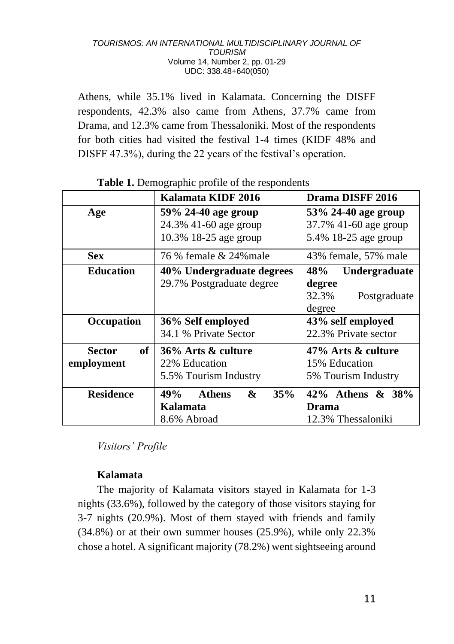Athens, while 35.1% lived in Kalamata. Concerning the DISFF respondents, 42.3% also came from Athens, 37.7% came from Drama, and 12.3% came from Thessaloniki. Most of the respondents for both cities had visited the festival 1-4 times (KIDF 48% and DISFF 47.3%), during the 22 years of the festival's operation.

|                     | Kalamata KIDF 2016               | Drama DISFF 2016      |  |  |  |
|---------------------|----------------------------------|-----------------------|--|--|--|
| Age                 | 59% 24-40 age group              | 53% 24-40 age group   |  |  |  |
|                     | 24.3% 41-60 age group            | 37.7% 41-60 age group |  |  |  |
|                     | 10.3% 18-25 age group            | 5.4% 18-25 age group  |  |  |  |
| <b>Sex</b>          | 76 % female & 24% male           | 43% female, 57% male  |  |  |  |
| <b>Education</b>    | 40% Undergraduate degrees        | 48%<br>Undergraduate  |  |  |  |
|                     | 29.7% Postgraduate degree        | degree                |  |  |  |
|                     |                                  | 32.3%<br>Postgraduate |  |  |  |
|                     |                                  | degree                |  |  |  |
| Occupation          | 36% Self employed                | 43% self employed     |  |  |  |
|                     | 34.1 % Private Sector            | 22.3% Private sector  |  |  |  |
| of<br><b>Sector</b> | 36% Arts & culture               | 47% Arts & culture    |  |  |  |
| employment          | 22% Education                    | 15% Education         |  |  |  |
|                     | 5.5% Tourism Industry            | 5% Tourism Industry   |  |  |  |
| <b>Residence</b>    | 35%<br>49%<br><b>Athens</b><br>& | 42% Athens & 38%      |  |  |  |
|                     | Kalamata                         | Drama                 |  |  |  |
|                     | 8.6% Abroad                      | 12.3% Thessaloniki    |  |  |  |

## **Table 1.** Demographic profile of the respondents

*Visitors' Profile*

## **Kalamata**

The majority of Kalamata visitors stayed in Kalamata for 1-3 nights (33.6%), followed by the category of those visitors staying for 3-7 nights (20.9%). Most of them stayed with friends and family (34.8%) or at their own summer houses (25.9%), while only 22.3% chose a hotel. A significant majority (78.2%) went sightseeing around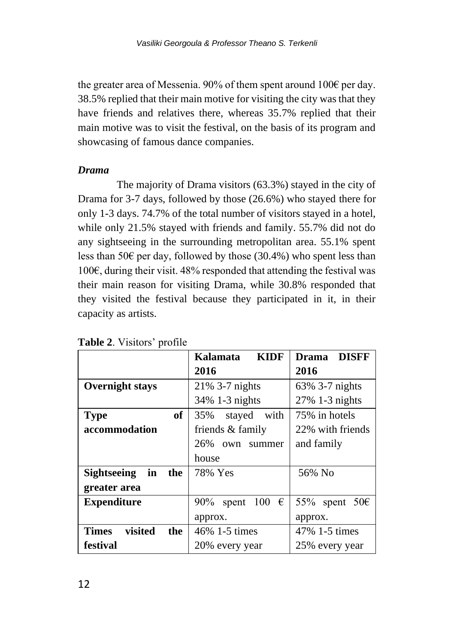the greater area of Messenia. 90% of them spent around 100€ per day. 38.5% replied that their main motive for visiting the city was that they have friends and relatives there, whereas 35.7% replied that their main motive was to visit the festival, on the basis of its program and showcasing of famous dance companies.

#### *Drama*

The majority of Drama visitors (63.3%) stayed in the city of Drama for 3-7 days, followed by those (26.6%) who stayed there for only 1-3 days. 74.7% of the total number of visitors stayed in a hotel, while only 21.5% stayed with friends and family. 55.7% did not do any sightseeing in the surrounding metropolitan area. 55.1% spent less than 50 $\epsilon$  per day, followed by those (30.4%) who spent less than 100€, during their visit.  $48\%$  responded that attending the festival was their main reason for visiting Drama, while 30.8% responded that they visited the festival because they participated in it, in their capacity as artists.

|                                 | <b>KIDF</b><br>Kalamata  | <b>DISFF</b><br>Drama   |
|---------------------------------|--------------------------|-------------------------|
|                                 | 2016                     | 2016                    |
| <b>Overnight stays</b>          | 21% 3-7 nights           | 63% 3-7 nights          |
|                                 | 34% 1-3 nights           | 27% 1-3 nights          |
| of<br><b>Type</b>               | 35%<br>with<br>stayed    | 75% in hotels           |
| accommodation                   | friends & family         | 22% with friends        |
|                                 | 26% own summer           | and family              |
|                                 | house                    |                         |
| in<br><b>Sightseeing</b><br>the | 78% Yes                  | 56% No                  |
| greater area                    |                          |                         |
| <b>Expenditure</b>              | 90% spent 100 $\epsilon$ | 55% spent 50 $\epsilon$ |
|                                 | approx.                  | approx.                 |
| visited<br><b>Times</b><br>the  | 46% 1-5 times            | 47% 1-5 times           |
| festival                        | 20% every year           | 25% every year          |

**Table 2**. Visitors' profile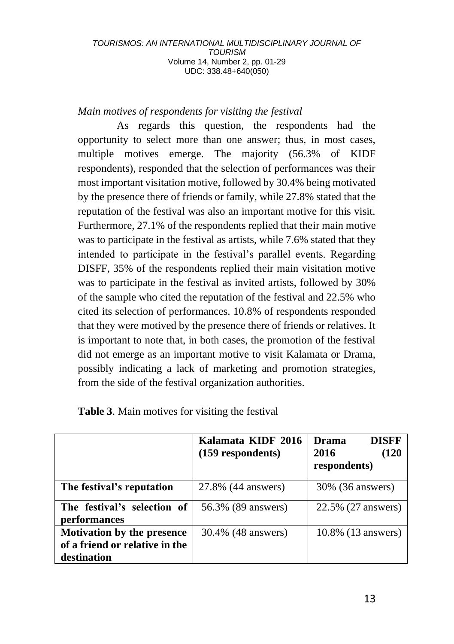## *Main motives of respondents for visiting the festival*

As regards this question, the respondents had the opportunity to select more than one answer; thus, in most cases, multiple motives emerge. The majority (56.3% of KIDF respondents), responded that the selection of performances was their most important visitation motive, followed by 30.4% being motivated by the presence there of friends or family, while 27.8% stated that the reputation of the festival was also an important motive for this visit. Furthermore, 27.1% of the respondents replied that their main motive was to participate in the festival as artists, while 7.6% stated that they intended to participate in the festival's parallel events. Regarding DISFF, 35% of the respondents replied their main visitation motive was to participate in the festival as invited artists, followed by 30% of the sample who cited the reputation of the festival and 22.5% who cited its selection of performances. 10.8% of respondents responded that they were motived by the presence there of friends or relatives. It is important to note that, in both cases, the promotion of the festival did not emerge as an important motive to visit Kalamata or Drama, possibly indicating a lack of marketing and promotion strategies, from the side of the festival organization authorities.

|                                                                                    | Kalamata KIDF 2016<br>(159 respondents) | <b>DISFF</b><br>Drama<br>2016<br>(120<br>respondents) |
|------------------------------------------------------------------------------------|-----------------------------------------|-------------------------------------------------------|
| The festival's reputation                                                          | 27.8% (44 answers)                      | 30% (36 answers)                                      |
| The festival's selection of<br>performances                                        | 56.3% (89 answers)                      | 22.5% (27 answers)                                    |
| <b>Motivation by the presence</b><br>of a friend or relative in the<br>destination | 30.4% (48 answers)                      | 10.8% (13 answers)                                    |

## **Table 3**. Main motives for visiting the festival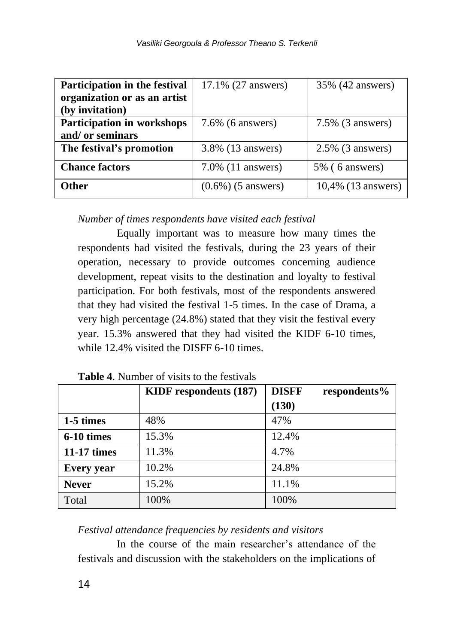| Participation in the festival | 17.1% (27 answers)    | 35% (42 answers)    |
|-------------------------------|-----------------------|---------------------|
| organization or as an artist  |                       |                     |
| (by invitation)               |                       |                     |
| Participation in workshops    | $7.6\%$ (6 answers)   | $7.5\%$ (3 answers) |
| and/ or seminars              |                       |                     |
| The festival's promotion      | 3.8% (13 answers)     | $2.5\%$ (3 answers) |
| <b>Chance factors</b>         | $7.0\%$ (11 answers)  | $5\%$ (6 answers)   |
| Other                         | $(0.6\%)$ (5 answers) | 10,4% (13 answers)  |

*Number of times respondents have visited each festival*

Equally important was to measure how many times the respondents had visited the festivals, during the 23 years of their operation, necessary to provide outcomes concerning audience development, repeat visits to the destination and loyalty to festival participation. For both festivals, most of the respondents answered that they had visited the festival 1-5 times. In the case of Drama, a very high percentage (24.8%) stated that they visit the festival every year. 15.3% answered that they had visited the KIDF 6-10 times, while 12.4% visited the DISFF 6-10 times.

|                   | <b>KIDF</b> respondents (187) | <b>DISFF</b><br>respondents% |
|-------------------|-------------------------------|------------------------------|
|                   |                               | (130)                        |
| 1-5 times         | 48%                           | 47%                          |
| 6-10 times        | 15.3%                         | 12.4%                        |
| 11-17 times       | 11.3%                         | 4.7%                         |
| <b>Every</b> year | 10.2%                         | 24.8%                        |
| <b>Never</b>      | 15.2%                         | 11.1%                        |
| Total             | 100%                          | 100%                         |

**Table 4**. Number of visits to the festivals

*Festival attendance frequencies by residents and visitors* 

In the course of the main researcher's attendance of the festivals and discussion with the stakeholders on the implications of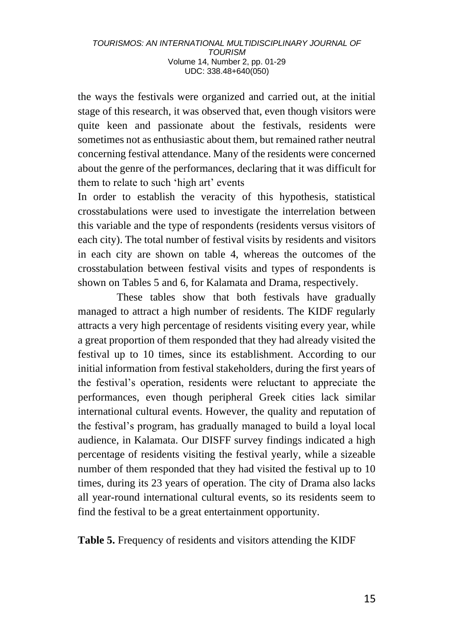the ways the festivals were organized and carried out, at the initial stage of this research, it was observed that, even though visitors were quite keen and passionate about the festivals, residents were sometimes not as enthusiastic about them, but remained rather neutral concerning festival attendance. Many of the residents were concerned about the genre of the performances, declaring that it was difficult for them to relate to such 'high art' events

In order to establish the veracity of this hypothesis, statistical crosstabulations were used to investigate the interrelation between this variable and the type of respondents (residents versus visitors of each city). The total number of festival visits by residents and visitors in each city are shown on table 4, whereas the outcomes of the crosstabulation between festival visits and types of respondents is shown on Tables 5 and 6, for Kalamata and Drama, respectively.

These tables show that both festivals have gradually managed to attract a high number of residents. The KIDF regularly attracts a very high percentage of residents visiting every year, while a great proportion of them responded that they had already visited the festival up to 10 times, since its establishment. According to our initial information from festival stakeholders, during the first years of the festival's operation, residents were reluctant to appreciate the performances, even though peripheral Greek cities lack similar international cultural events. However, the quality and reputation of the festival's program, has gradually managed to build a loyal local audience, in Kalamata. Our DISFF survey findings indicated a high percentage of residents visiting the festival yearly, while a sizeable number of them responded that they had visited the festival up to 10 times, during its 23 years of operation. The city of Drama also lacks all year-round international cultural events, so its residents seem to find the festival to be a great entertainment opportunity.

**Table 5.** Frequency of residents and visitors attending the KIDF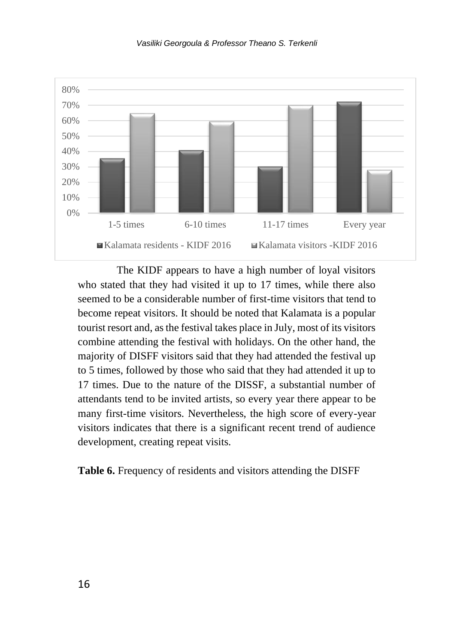



The KIDF appears to have a high number of loyal visitors who stated that they had visited it up to 17 times, while there also seemed to be a considerable number of first-time visitors that tend to become repeat visitors. It should be noted that Kalamata is a popular tourist resort and, as the festival takes place in July, most of its visitors combine attending the festival with holidays. On the other hand, the majority of DISFF visitors said that they had attended the festival up to 5 times, followed by those who said that they had attended it up to 17 times. Due to the nature of the DISSF, a substantial number of attendants tend to be invited artists, so every year there appear to be many first-time visitors. Nevertheless, the high score of every-year visitors indicates that there is a significant recent trend of audience development, creating repeat visits.

**Table 6.** Frequency of residents and visitors attending the DISFF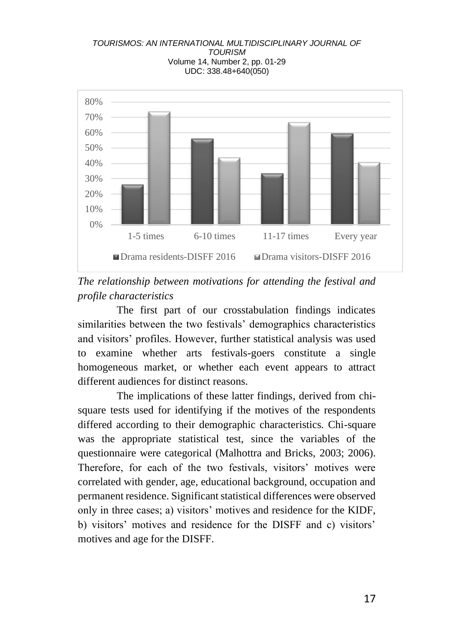



The first part of our crosstabulation findings indicates similarities between the two festivals' demographics characteristics and visitors' profiles. However, further statistical analysis was used to examine whether arts festivals-goers constitute a single homogeneous market, or whether each event appears to attract different audiences for distinct reasons.

The implications of these latter findings, derived from chisquare tests used for identifying if the motives of the respondents differed according to their demographic characteristics. Chi-square was the appropriate statistical test, since the variables of the questionnaire were categorical (Malhottra and Bricks, 2003; 2006). Therefore, for each of the two festivals, visitors' motives were correlated with gender, age, educational background, occupation and permanent residence. Significant statistical differences were observed only in three cases; a) visitors' motives and residence for the KIDF, b) visitors' motives and residence for the DISFF and c) visitors' motives and age for the DISFF.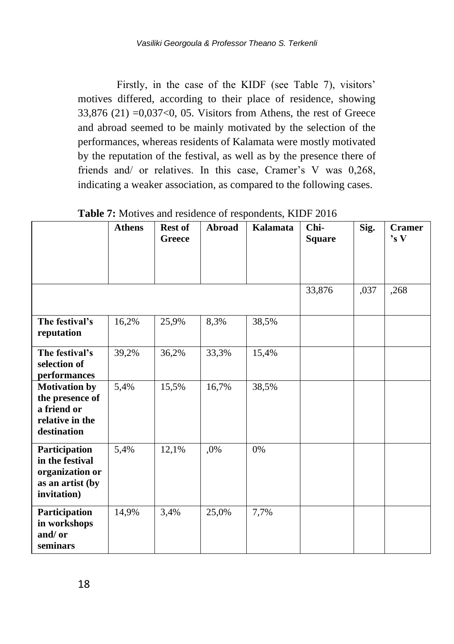Firstly, in the case of the KIDF (see Table 7), visitors' motives differed, according to their place of residence, showing  $33,876$  (21)  $=0,037<0,05$ . Visitors from Athens, the rest of Greece and abroad seemed to be mainly motivated by the selection of the performances, whereas residents of Kalamata were mostly motivated by the reputation of the festival, as well as by the presence there of friends and/ or relatives. In this case, Cramer's V was 0,268, indicating a weaker association, as compared to the following cases.

|                                                                                          |               |                          |        | mourtes and residence of respondence, there have |                       |      |                         |
|------------------------------------------------------------------------------------------|---------------|--------------------------|--------|--------------------------------------------------|-----------------------|------|-------------------------|
|                                                                                          | <b>Athens</b> | <b>Rest of</b><br>Greece | Abroad | Kalamata                                         | Chi-<br><b>Square</b> | Sig. | <b>Cramer</b><br>'s $V$ |
|                                                                                          |               |                          |        |                                                  | 33,876                | ,037 | ,268                    |
| The festival's<br>reputation                                                             | 16,2%         | 25,9%                    | 8,3%   | 38,5%                                            |                       |      |                         |
| The festival's<br>selection of<br>performances                                           | 39,2%         | 36,2%                    | 33,3%  | 15,4%                                            |                       |      |                         |
| <b>Motivation by</b><br>the presence of<br>a friend or<br>relative in the<br>destination | 5,4%          | 15,5%                    | 16,7%  | 38,5%                                            |                       |      |                         |
| Participation<br>in the festival<br>organization or<br>as an artist (by<br>invitation)   | 5,4%          | 12,1%                    | .0%    | 0%                                               |                       |      |                         |
| Participation<br>in workshops<br>and/or<br>seminars                                      | 14,9%         | 3,4%                     | 25,0%  | 7,7%                                             |                       |      |                         |

Table 7: Motives and residence of respondents, KIDF 2016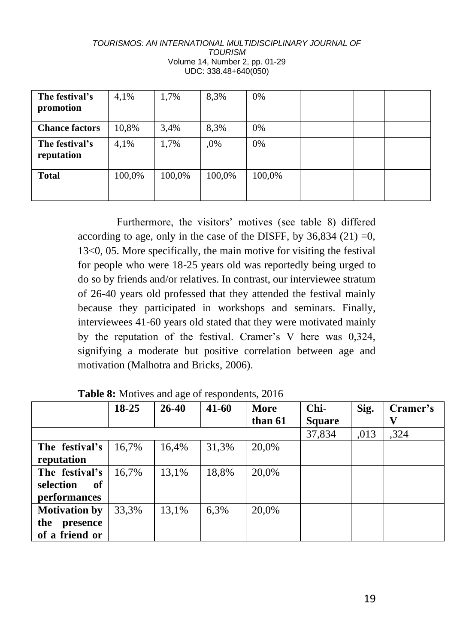| The festival's<br>promotion  | 4,1%   | 1,7%   | 8.3%   | 0%     |  |  |
|------------------------------|--------|--------|--------|--------|--|--|
| <b>Chance factors</b>        | 10,8%  | 3,4%   | 8.3%   | 0%     |  |  |
| The festival's<br>reputation | 4,1%   | 1,7%   | .0%    | 0%     |  |  |
| <b>Total</b>                 | 100,0% | 100,0% | 100,0% | 100,0% |  |  |

Furthermore, the visitors' motives (see table 8) differed according to age, only in the case of the DISFF, by  $36,834$  (21) =0, 13<0, 05. More specifically, the main motive for visiting the festival for people who were 18-25 years old was reportedly being urged to do so by friends and/or relatives. In contrast, our interviewee stratum of 26-40 years old professed that they attended the festival mainly because they participated in workshops and seminars. Finally, interviewees 41-60 years old stated that they were motivated mainly by the reputation of the festival. Cramer's V here was 0,324, signifying a moderate but positive correlation between age and motivation (Malhotra and Bricks, 2006).

|                      | 18-25 | 26-40 | 41-60 | More    | Chi-          | Sig. | Cramer's |
|----------------------|-------|-------|-------|---------|---------------|------|----------|
|                      |       |       |       | than 61 | <b>Square</b> |      | v        |
|                      |       |       |       |         | 37,834        | .013 | .324     |
| The festival's       | 16,7% | 16,4% | 31,3% | 20,0%   |               |      |          |
| reputation           |       |       |       |         |               |      |          |
| The festival's       | 16.7% | 13,1% | 18,8% | 20,0%   |               |      |          |
| selection<br>оf      |       |       |       |         |               |      |          |
| <i>performances</i>  |       |       |       |         |               |      |          |
| <b>Motivation by</b> | 33.3% | 13,1% | 6,3%  | 20,0%   |               |      |          |
| the<br>presence      |       |       |       |         |               |      |          |
| of a friend or       |       |       |       |         |               |      |          |

**Table 8:** Motives and age of respondents, 2016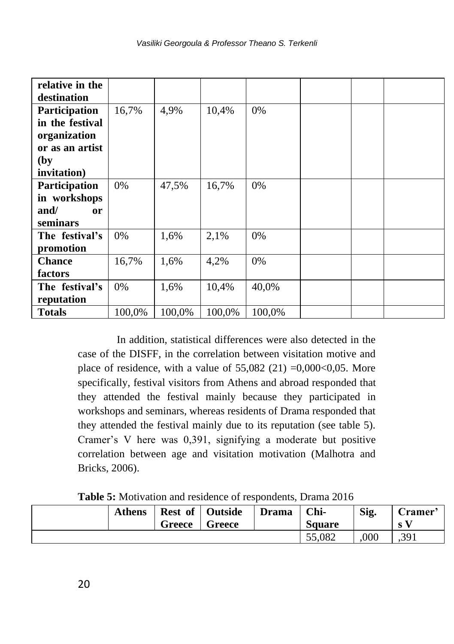| relative in the |        |        |        |        |  |  |
|-----------------|--------|--------|--------|--------|--|--|
| destination     |        |        |        |        |  |  |
| Participation   | 16,7%  | 4,9%   | 10,4%  | 0%     |  |  |
| in the festival |        |        |        |        |  |  |
| organization    |        |        |        |        |  |  |
| or as an artist |        |        |        |        |  |  |
| (by             |        |        |        |        |  |  |
| invitation)     |        |        |        |        |  |  |
| Participation   | 0%     | 47,5%  | 16,7%  | 0%     |  |  |
| in workshops    |        |        |        |        |  |  |
| and/<br>or      |        |        |        |        |  |  |
| seminars        |        |        |        |        |  |  |
| The festival's  | 0%     | 1,6%   | 2,1%   | 0%     |  |  |
| promotion       |        |        |        |        |  |  |
| <b>Chance</b>   | 16,7%  | 1,6%   | 4,2%   | 0%     |  |  |
| factors         |        |        |        |        |  |  |
| The festival's  | 0%     | 1,6%   | 10,4%  | 40,0%  |  |  |
| reputation      |        |        |        |        |  |  |
| <b>Totals</b>   | 100,0% | 100,0% | 100,0% | 100,0% |  |  |

In addition, statistical differences were also detected in the case of the DISFF, in the correlation between visitation motive and place of residence, with a value of  $55,082$  (21) =0,000<0,05. More specifically, festival visitors from Athens and abroad responded that they attended the festival mainly because they participated in workshops and seminars, whereas residents of Drama responded that they attended the festival mainly due to its reputation (see table 5). Cramer's V here was 0,391, signifying a moderate but positive correlation between age and visitation motivation (Malhotra and Bricks, 2006).

|  |  |  | Table 5: Motivation and residence of respondents, Drama 2016 |  |
|--|--|--|--------------------------------------------------------------|--|
|--|--|--|--------------------------------------------------------------|--|

| <b>Athens</b> | Greece | <b>Rest of   Outside</b><br>Greece | <b>Drama</b> | Chi-<br><b>Square</b> | Sig. | Cramer'<br>S |
|---------------|--------|------------------------------------|--------------|-----------------------|------|--------------|
|               |        |                                    |              | 55.082                | 000  | .391         |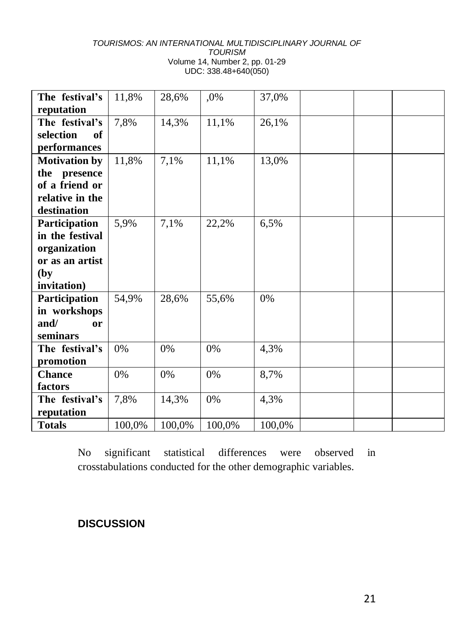| The festival's        | 11,8%  | 28,6%  | ,0%    | 37,0%  |
|-----------------------|--------|--------|--------|--------|
| reputation            |        |        |        |        |
| The festival's        | 7,8%   | 14,3%  | 11,1%  | 26,1%  |
| selection<br>of       |        |        |        |        |
| performances          |        |        |        |        |
| <b>Motivation by</b>  | 11,8%  | 7,1%   | 11,1%  | 13,0%  |
| the<br>presence       |        |        |        |        |
| of a friend or        |        |        |        |        |
| relative in the       |        |        |        |        |
| destination           |        |        |        |        |
| Participation         | 5,9%   | 7,1%   | 22,2%  | 6,5%   |
| in the festival       |        |        |        |        |
| organization          |        |        |        |        |
| or as an artist       |        |        |        |        |
| (by)                  |        |        |        |        |
| invitation)           |        |        |        |        |
| Participation         | 54,9%  | 28,6%  | 55,6%  | $0\%$  |
| in workshops          |        |        |        |        |
| and/<br><sub>or</sub> |        |        |        |        |
| seminars              |        |        |        |        |
| The festival's        | $0\%$  | 0%     | 0%     | 4,3%   |
| promotion             |        |        |        |        |
| <b>Chance</b>         | $0\%$  | $0\%$  | 0%     | 8,7%   |
| factors               |        |        |        |        |
| The festival's        | 7,8%   | 14,3%  | 0%     | 4,3%   |
| reputation            |        |        |        |        |
| <b>Totals</b>         | 100,0% | 100,0% | 100,0% | 100,0% |

No significant statistical differences were observed in crosstabulations conducted for the other demographic variables.

## **DISCUSSION**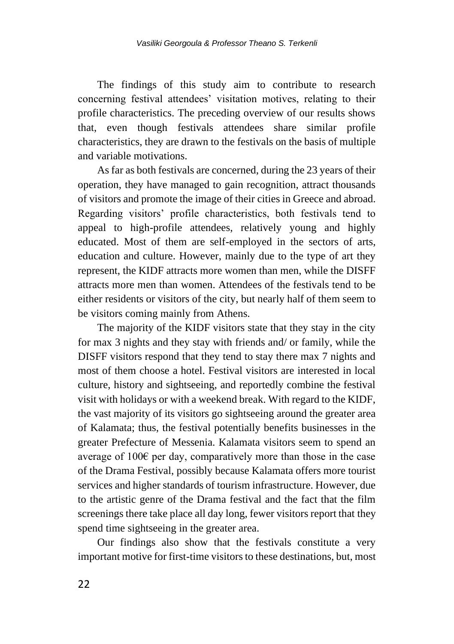The findings of this study aim to contribute to research concerning festival attendees' visitation motives, relating to their profile characteristics. The preceding overview of our results shows that, even though festivals attendees share similar profile characteristics, they are drawn to the festivals on the basis of multiple and variable motivations.

As far as both festivals are concerned, during the 23 years of their operation, they have managed to gain recognition, attract thousands of visitors and promote the image of their cities in Greece and abroad. Regarding visitors' profile characteristics, both festivals tend to appeal to high-profile attendees, relatively young and highly educated. Most of them are self-employed in the sectors of arts, education and culture. However, mainly due to the type of art they represent, the KIDF attracts more women than men, while the DISFF attracts more men than women. Attendees of the festivals tend to be either residents or visitors of the city, but nearly half of them seem to be visitors coming mainly from Athens.

The majority of the KIDF visitors state that they stay in the city for max 3 nights and they stay with friends and/ or family, while the DISFF visitors respond that they tend to stay there max 7 nights and most of them choose a hotel. Festival visitors are interested in local culture, history and sightseeing, and reportedly combine the festival visit with holidays or with a weekend break. With regard to the KIDF, the vast majority of its visitors go sightseeing around the greater area of Kalamata; thus, the festival potentially benefits businesses in the greater Prefecture of Messenia. Kalamata visitors seem to spend an average of 100€ per day, comparatively more than those in the case of the Drama Festival, possibly because Kalamata offers more tourist services and higher standards of tourism infrastructure. However, due to the artistic genre of the Drama festival and the fact that the film screenings there take place all day long, fewer visitors report that they spend time sightseeing in the greater area.

Our findings also show that the festivals constitute a very important motive for first-time visitors to these destinations, but, most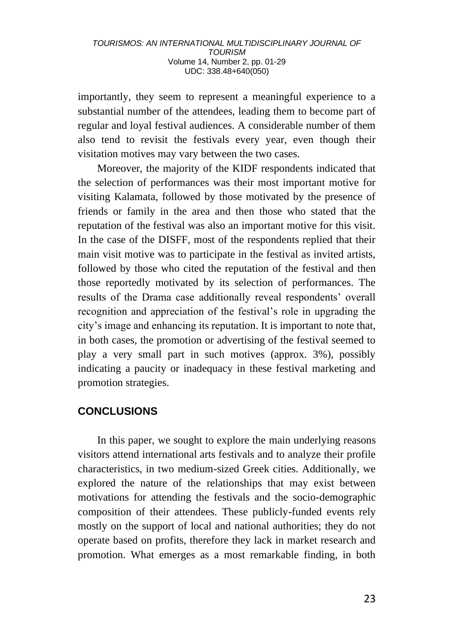importantly, they seem to represent a meaningful experience to a substantial number of the attendees, leading them to become part of regular and loyal festival audiences. A considerable number of them also tend to revisit the festivals every year, even though their visitation motives may vary between the two cases.

Moreover, the majority of the KIDF respondents indicated that the selection of performances was their most important motive for visiting Kalamata, followed by those motivated by the presence of friends or family in the area and then those who stated that the reputation of the festival was also an important motive for this visit. In the case of the DISFF, most of the respondents replied that their main visit motive was to participate in the festival as invited artists, followed by those who cited the reputation of the festival and then those reportedly motivated by its selection of performances. The results of the Drama case additionally reveal respondents' overall recognition and appreciation of the festival's role in upgrading the city's image and enhancing its reputation. It is important to note that, in both cases, the promotion or advertising of the festival seemed to play a very small part in such motives (approx. 3%), possibly indicating a paucity or inadequacy in these festival marketing and promotion strategies.

## **CONCLUSIONS**

In this paper, we sought to explore the main underlying reasons visitors attend international arts festivals and to analyze their profile characteristics, in two medium-sized Greek cities. Additionally, we explored the nature of the relationships that may exist between motivations for attending the festivals and the socio-demographic composition of their attendees. These publicly-funded events rely mostly on the support of local and national authorities; they do not operate based on profits, therefore they lack in market research and promotion. What emerges as a most remarkable finding, in both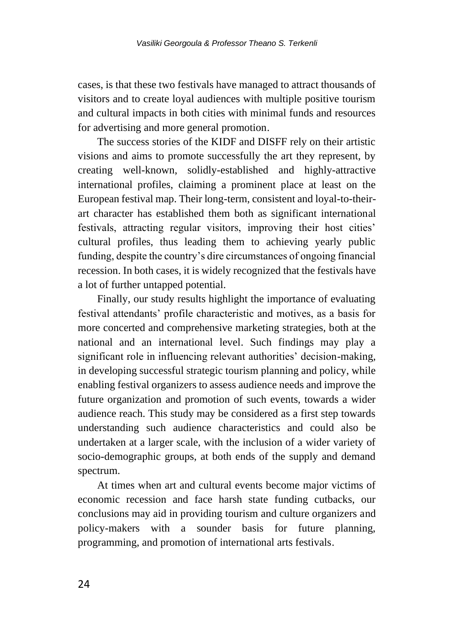cases, is that these two festivals have managed to attract thousands of visitors and to create loyal audiences with multiple positive tourism and cultural impacts in both cities with minimal funds and resources for advertising and more general promotion.

The success stories of the KIDF and DISFF rely on their artistic visions and aims to promote successfully the art they represent, by creating well-known, solidly-established and highly-attractive international profiles, claiming a prominent place at least on the European festival map. Their long-term, consistent and loyal-to-theirart character has established them both as significant international festivals, attracting regular visitors, improving their host cities' cultural profiles, thus leading them to achieving yearly public funding, despite the country's dire circumstances of ongoing financial recession. In both cases, it is widely recognized that the festivals have a lot of further untapped potential.

Finally, our study results highlight the importance of evaluating festival attendants' profile characteristic and motives, as a basis for more concerted and comprehensive marketing strategies, both at the national and an international level. Such findings may play a significant role in influencing relevant authorities' decision-making, in developing successful strategic tourism planning and policy, while enabling festival organizers to assess audience needs and improve the future organization and promotion of such events, towards a wider audience reach. This study may be considered as a first step towards understanding such audience characteristics and could also be undertaken at a larger scale, with the inclusion of a wider variety of socio-demographic groups, at both ends of the supply and demand spectrum.

At times when art and cultural events become major victims of economic recession and face harsh state funding cutbacks, our conclusions may aid in providing tourism and culture organizers and policy-makers with a sounder basis for future planning, programming, and promotion of international arts festivals.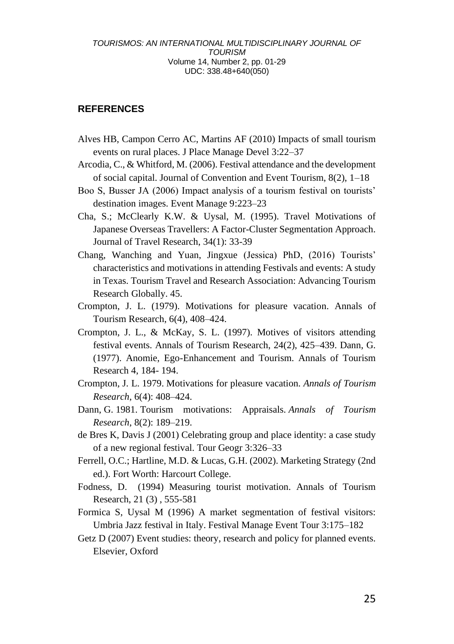#### **REFERENCES**

- Alves HB, Campon Cerro AC, Martins AF (2010) Impacts of small tourism events on rural places. J Place Manage Devel 3:22–37
- Arcodia, C., & Whitford, M. (2006). Festival attendance and the development of social capital. Journal of Convention and Event Tourism, 8(2), 1–18
- Boo S, Busser JA (2006) Impact analysis of a tourism festival on tourists' destination images. Event Manage 9:223–23
- Cha, S.; McClearly K.W. & Uysal, M. (1995). Travel Motivations of Japanese Overseas Travellers: A Factor-Cluster Segmentation Approach. Journal of Travel Research, 34(1): 33-39
- Chang, Wanching and Yuan, Jingxue (Jessica) PhD, (2016) Tourists' characteristics and motivations in attending Festivals and events: A study in Texas. Tourism Travel and Research Association: Advancing Tourism Research Globally. 45.
- Crompton, J. L. (1979). Motivations for pleasure vacation. Annals of Tourism Research, 6(4), 408–424.
- Crompton, J. L., & McKay, S. L. (1997). Motives of visitors attending festival events. Annals of Tourism Research, 24(2), 425–439. Dann, G. (1977). Anomie, Ego-Enhancement and Tourism. Annals of Tourism Research 4, 184- 194.
- Crompton, J. L. 1979. Motivations for pleasure vacation. *Annals of Tourism Research*, 6(4): 408–424.
- Dann, G. 1981. Tourism motivations: Appraisals. *Annals of Tourism Research*, 8(2): 189–219.
- de Bres K, Davis J (2001) Celebrating group and place identity: a case study of a new regional festival. Tour Geogr 3:326–33
- Ferrell, O.C.; Hartline, M.D. & Lucas, G.H. (2002). Marketing Strategy (2nd ed.). Fort Worth: Harcourt College.
- Fodness, D. (1994) Measuring tourist motivation. Annals of Tourism Research, 21 (3) , 555-581
- Formica S, Uysal M (1996) A market segmentation of festival visitors: Umbria Jazz festival in Italy. Festival Manage Event Tour 3:175–182
- Getz D (2007) Event studies: theory, research and policy for planned events. Elsevier, Oxford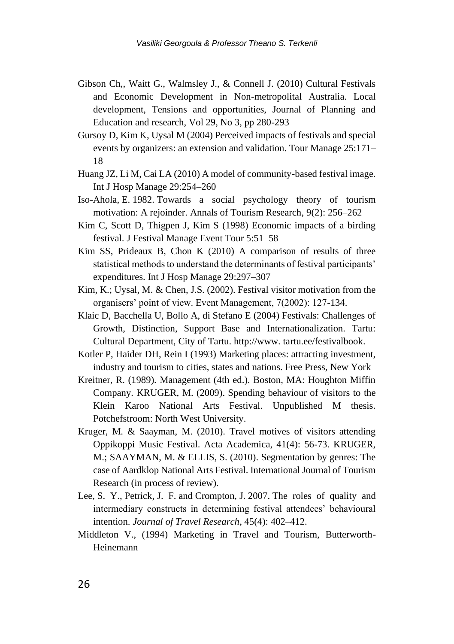- Gibson Ch,, Waitt G., Walmsley J., & Connell J. (2010) Cultural Festivals and Economic Development in Non-metropolital Australia. Local development, Tensions and opportunities, Journal of Planning and Education and research, Vol 29, No 3, pp 280-293
- Gursoy D, Kim K, Uysal M (2004) Perceived impacts of festivals and special events by organizers: an extension and validation. Tour Manage 25:171– 18
- Huang JZ, Li M, Cai LA (2010) A model of community-based festival image. Int J Hosp Manage 29:254–260
- Iso-Ahola, E. 1982. Towards a social psychology theory of tourism motivation: A rejoinder. Annals of Tourism Research, 9(2): 256–262
- Kim C, Scott D, Thigpen J, Kim S (1998) Economic impacts of a birding festival. J Festival Manage Event Tour 5:51–58
- Kim SS, Prideaux B, Chon K (2010) A comparison of results of three statistical methods to understand the determinants of festival participants' expenditures. Int J Hosp Manage 29:297–307
- Kim, K.; Uysal, M. & Chen, J.S. (2002). Festival visitor motivation from the organisers' point of view. Event Management, 7(2002): 127-134.
- Klaic D, Bacchella U, Bollo A, di Stefano E (2004) Festivals: Challenges of Growth, Distinction, Support Base and Internationalization. Tartu: Cultural Department, City of Tartu. http://www. tartu.ee/festivalbook.
- Kotler P, Haider DH, Rein I (1993) Marketing places: attracting investment, industry and tourism to cities, states and nations. Free Press, New York
- Kreitner, R. (1989). Management (4th ed.). Boston, MA: Houghton Miffin Company. KRUGER, M. (2009). Spending behaviour of visitors to the Klein Karoo National Arts Festival. Unpublished M thesis. Potchefstroom: North West University.
- Kruger, M. & Saayman, M. (2010). Travel motives of visitors attending Oppikoppi Music Festival. Acta Academica, 41(4): 56-73. KRUGER, M.; SAAYMAN, M. & ELLIS, S. (2010). Segmentation by genres: The case of Aardklop National Arts Festival. International Journal of Tourism Research (in process of review).
- Lee, S. Y., Petrick, J. F. and Crompton, J. 2007. The roles of quality and intermediary constructs in determining festival attendees' behavioural intention. *Journal of Travel Research*, 45(4): 402–412.
- Middleton V., (1994) Marketing in Travel and Tourism, Butterworth-Heinemann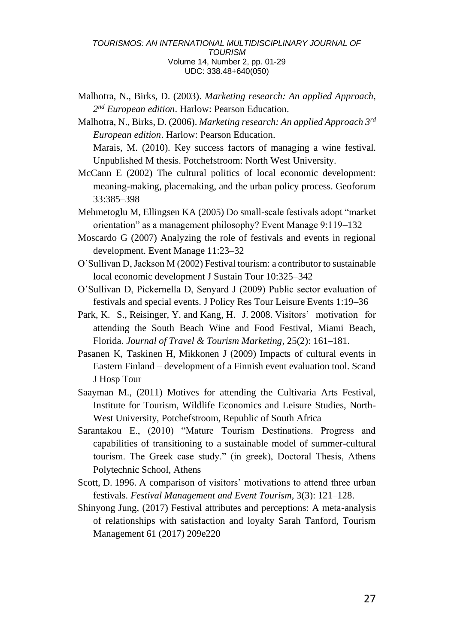Malhotra, N., Birks, D. (2003). *Marketing research: An applied Approach, 2 nd European edition*. Harlow: Pearson Education.

Malhotra, N., Birks, D. (2006). *Marketing research: An applied Approach 3rd European edition*. Harlow: Pearson Education.

Marais, M. (2010). Key success factors of managing a wine festival. Unpublished M thesis. Potchefstroom: North West University.

- McCann E (2002) The cultural politics of local economic development: meaning-making, placemaking, and the urban policy process. Geoforum 33:385–398
- Mehmetoglu M, Ellingsen KA (2005) Do small-scale festivals adopt "market orientation" as a management philosophy? Event Manage 9:119–132
- Moscardo G (2007) Analyzing the role of festivals and events in regional development. Event Manage 11:23–32
- O'Sullivan D, Jackson M (2002) Festival tourism: a contributor to sustainable local economic development J Sustain Tour 10:325–342
- O'Sullivan D, Pickernella D, Senyard J (2009) Public sector evaluation of festivals and special events. J Policy Res Tour Leisure Events 1:19–36
- Park, K. S., Reisinger, Y. and Kang, H. J. 2008. Visitors' motivation for attending the South Beach Wine and Food Festival, Miami Beach, Florida. *Journal of Travel & Tourism Marketing*, 25(2): 161–181.
- Pasanen K, Taskinen H, Mikkonen J (2009) Impacts of cultural events in Eastern Finland – development of a Finnish event evaluation tool. Scand J Hosp Tour
- Saayman M., (2011) Motives for attending the Cultivaria Arts Festival, Institute for Tourism, Wildlife Economics and Leisure Studies, North-West University, Potchefstroom, Republic of South Africa
- Sarantakou E., (2010) "Mature Tourism Destinations. Progress and capabilities of transitioning to a sustainable model of summer-cultural tourism. The Greek case study." (in greek), Doctoral Thesis, Athens Polytechnic School, Athens
- Scott, D. 1996. A comparison of visitors' motivations to attend three urban festivals. *Festival Management and Event Tourism*, 3(3): 121–128.
- Shinyong Jung, (2017) Festival attributes and perceptions: A meta-analysis of relationships with satisfaction and loyalty Sarah Tanford, Tourism Management 61 (2017) 209e220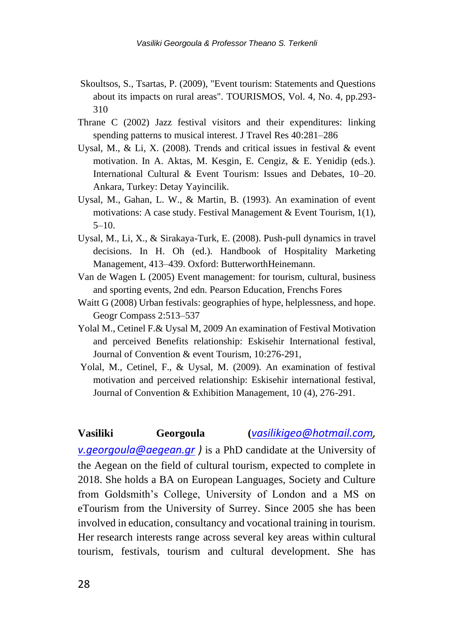- Skoultsos, S., Tsartas, P. (2009), "Event tourism: Statements and Questions about its impacts on rural areas". TOURISMOS, Vol. 4, No. 4, pp.293- 310
- Thrane C (2002) Jazz festival visitors and their expenditures: linking spending patterns to musical interest. J Travel Res 40:281–286
- Uysal, M., & Li, X. (2008). Trends and critical issues in festival & event motivation. In A. Aktas, M. Kesgin, E. Cengiz, & E. Yenidip (eds.). International Cultural & Event Tourism: Issues and Debates, 10–20. Ankara, Turkey: Detay Yayincilik.
- Uysal, M., Gahan, L. W., & Martin, B. (1993). An examination of event motivations: A case study. Festival Management & Event Tourism, 1(1),  $5-10.$
- Uysal, M., Li, X., & Sirakaya-Turk, E. (2008). Push-pull dynamics in travel decisions. In H. Oh (ed.). Handbook of Hospitality Marketing Management, 413–439. Oxford: ButterworthHeinemann.
- Van de Wagen L (2005) Event management: for tourism, cultural, business and sporting events, 2nd edn. Pearson Education, Frenchs Fores
- Waitt G (2008) Urban festivals: geographies of hype, helplessness, and hope. Geogr Compass 2:513–537
- Yolal M., Cetinel F.& Uysal M, 2009 An examination of Festival Motivation and perceived Benefits relationship: Eskisehir International festival, Journal of Convention & event Tourism, 10:276-291,
- Yolal, M., Cetinel, F., & Uysal, M. (2009). An examination of festival motivation and perceived relationship: Eskisehir international festival, Journal of Convention & Exhibition Management, 10 (4), 276-291.

#### **Vasiliki Georgoula (***[vasilikigeo@hotmail.com,](mailto:vasilikigeo@hotmail.com)*

*[v.georgoula@aegean.gr](mailto:v.georgoula@aegean.gr) )* is a PhD candidate at the University of the Aegean on the field of cultural tourism, expected to complete in 2018. She holds a BA on European Languages, Society and Culture from Goldsmith's College, University of London and a MS on eTourism from the University of Surrey. Since 2005 she has been involved in education, consultancy and vocational training in tourism. Her research interests range across several key areas within cultural tourism, festivals, tourism and cultural development. She has